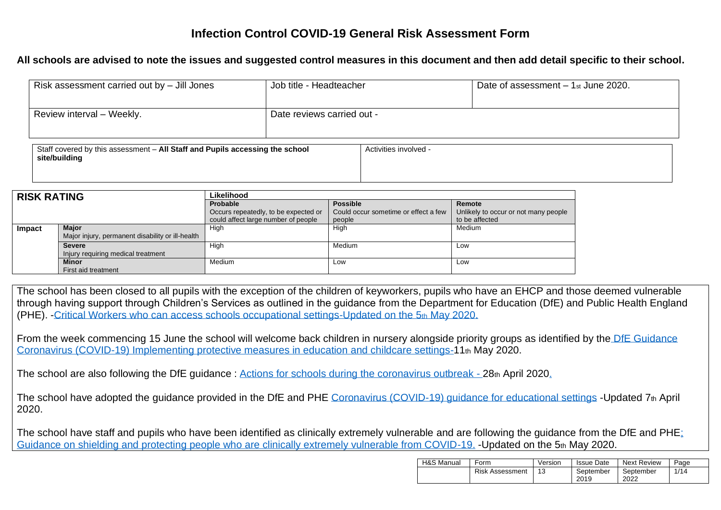## **Infection Control COVID-19 General Risk Assessment Form**

**All schools are advised to note the issues and suggested control measures in this document and then add detail specific to their school.**

| Risk assessment carried out by $-$ Jill Jones                                                 |                            | Job title - Headteacher<br>Date of assessment $-1$ <sub>st</sub> June 2020. |  |  |  |
|-----------------------------------------------------------------------------------------------|----------------------------|-----------------------------------------------------------------------------|--|--|--|
| Review interval - Weekly.                                                                     | Date reviews carried out - |                                                                             |  |  |  |
| Staff covered by this assessment - All Staff and Pupils accessing the school<br>site/building |                            | Activities involved -                                                       |  |  |  |

| <b>RISK RATING</b> |                                                  | Likelihood                           |                                      |                                      |  |  |  |
|--------------------|--------------------------------------------------|--------------------------------------|--------------------------------------|--------------------------------------|--|--|--|
|                    |                                                  | <b>Probable</b>                      | <b>Possible</b>                      | Remote                               |  |  |  |
|                    |                                                  | Occurs repeatedly, to be expected or | Could occur sometime or effect a few | Unlikely to occur or not many people |  |  |  |
|                    |                                                  | could affect large number of people  | people                               | to be affected                       |  |  |  |
| Impact             | <b>Maior</b>                                     | High                                 | High                                 | Medium                               |  |  |  |
|                    | Major injury, permanent disability or ill-health |                                      |                                      |                                      |  |  |  |
|                    | <b>Severe</b>                                    | High                                 | Medium                               | Low                                  |  |  |  |
|                    | Injury requiring medical treatment               |                                      |                                      |                                      |  |  |  |
|                    | <b>Minor</b>                                     | Medium                               | Low                                  | Low                                  |  |  |  |
|                    | First aid treatment                              |                                      |                                      |                                      |  |  |  |

The school has been closed to all pupils with the exception of the children of keyworkers, pupils who have an EHCP and those deemed vulnerable through having support through Children's Services as outlined in the guidance from the Department for Education (DfE) and Public Health England (PHE). [-Critical Workers who can access schools occupational settings-Updated on the 5](https://www.gov.uk/government/publications/coronavirus-covid-19-maintaining-educational-provision)th May 2020.

From the week commencing 15 June the school will welcome back children in nursery alongside priority groups as identified by the DfE Guidance [Coronavirus \(COVID-19\) Implementing protective measures in education and childcare settings-1](https://www.gov.uk/government/publications/coronavirus-covid-19-implementing-protective-measures-in-education-and-childcare-settings/coronavirus-covid-19-implementing-protective-measures-in-education-and-childcare-settings)1th May 2020.

The school are also following the DfE guidance : [Actions for schools during the coronavirus outbreak -](https://www.gov.uk/government/publications/covid-19-school-closures/guidance-for-schools-about-temporarily-closing) 28th April 2020.

The school have adopted the quidance provided in the DfE and PHE Coronavirus (COVID-19) quidance for educational settings -Updated 7th April 2020.

The school have staff and pupils who have been identified as clinically extremely vulnerable and are following the guidance from the DfE and PHE; [Guidance on shielding and protecting people who are clinically extremely vulnerable from COVID-19.](https://www.gov.uk/government/publications/guidance-on-shielding-and-protecting-extremely-vulnerable-persons-from-covid-19/guidance-on-shielding-and-protecting-extremely-vulnerable-persons-from-covid-19) -Updated on the 5th May 2020.

| H&S Manual | Version<br>Form        |  | <b>Issue Date</b> | <b>Next Review</b> | Page |
|------------|------------------------|--|-------------------|--------------------|------|
|            | <b>Risk Assessment</b> |  | September<br>2019 | September<br>2022  | 1/14 |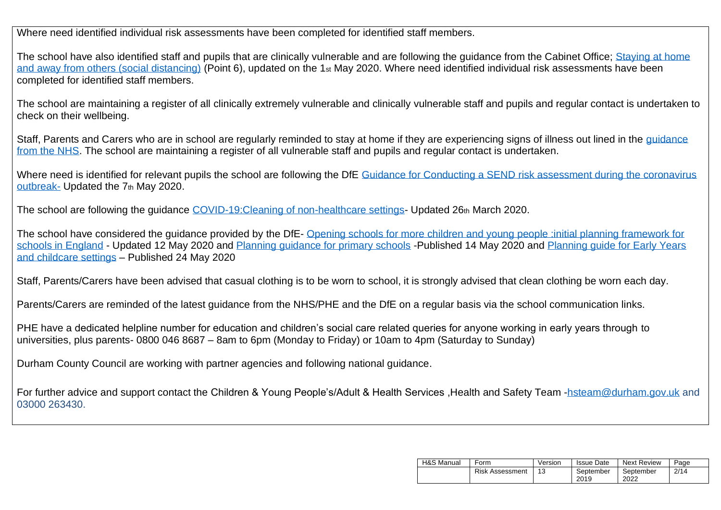Where need identified individual risk assessments have been completed for identified staff members.

The school have also identified staff and pupils that are clinically vulnerable and are following the guidance from the Cabinet Office; Staying at home [and away from others \(social distancing\)](https://www.gov.uk/government/publications/full-guidance-on-staying-at-home-and-away-from-others/full-guidance-on-staying-at-home-and-away-from-others) (Point 6), updated on the 1st May 2020. Where need identified individual risk assessments have been completed for identified staff members.

The school are maintaining a register of all clinically extremely vulnerable and clinically vulnerable staff and pupils and regular contact is undertaken to check on their wellbeing.

Staff, Parents and Carers who are in school are regularly reminded to stay at home if they are experiencing signs of illness out lined in the quidance [from the NHS.](https://www.nhs.uk/conditions/coronavirus-covid-19/check-if-you-have-coronavirus-symptoms/) The school are maintaining a register of all vulnerable staff and pupils and regular contact is undertaken.

Where need is identified for relevant pupils the school are following the DfE Guidance for Conducting a SEND risk assessment during the coronavirus [outbreak-](https://www.gov.uk/government/publications/coronavirus-covid-19-send-risk-assessment-guidance/coronavirus-covid-19-send-risk-assessment-guidance) Updated the 7<sup>th</sup> May 2020.

The school are following the guidance [COVID-19:Cleaning of non-healthcare settings-](https://www.gov.uk/government/publications/covid-19-decontamination-in-non-healthcare-settings) Updated 26th March 2020.

The school have considered the quidance provided by the DfE-Opening schools for more children and young people :initial planning framework for [schools in England](https://www.gov.uk/government/publications/actions-for-educational-and-childcare-settings-to-prepare-for-wider-opening-from-1-june-2020/opening-schools-for-more-children-and-young-people-initial-planning-framework-for-schools-in-england) - Updated 12 May 2020 and [Planning guidance for primary schools](https://www.gov.uk/government/publications/preparing-for-the-wider-opening-of-schools-from-1-june/planning-guide-for-primary-schools) -Published 14 May 2020 and Planning guide for Early Years [and childcare settings](https://www.gov.uk/government/publications/preparing-for-the-wider-opening-of-early-years-and-childcare-settings-from-1-june/planning-guide-for-early-years-and-childcare-settings) – Published 24 May 2020

Staff, Parents/Carers have been advised that casual clothing is to be worn to school, it is strongly advised that clean clothing be worn each day.

Parents/Carers are reminded of the latest guidance from the NHS/PHE and the DfE on a regular basis via the school communication links.

PHE have a dedicated helpline number for education and children's social care related queries for anyone working in early years through to universities, plus parents- 0800 046 8687 – 8am to 6pm (Monday to Friday) or 10am to 4pm (Saturday to Sunday)

Durham County Council are working with partner agencies and following national guidance.

For further advice and support contact the Children & Young People's/Adult & Health Services ,Health and Safety Team [-hsteam@durham.gov.uk](mailto:hsteam@durham.gov.uk) and 03000 263430.

| H&S Manual | Form                   | Version | <b>Issue Date</b> | <b>Next Review</b> | Page |
|------------|------------------------|---------|-------------------|--------------------|------|
|            | <b>Risk Assessment</b> |         | September<br>2019 | September<br>2022  | 2/14 |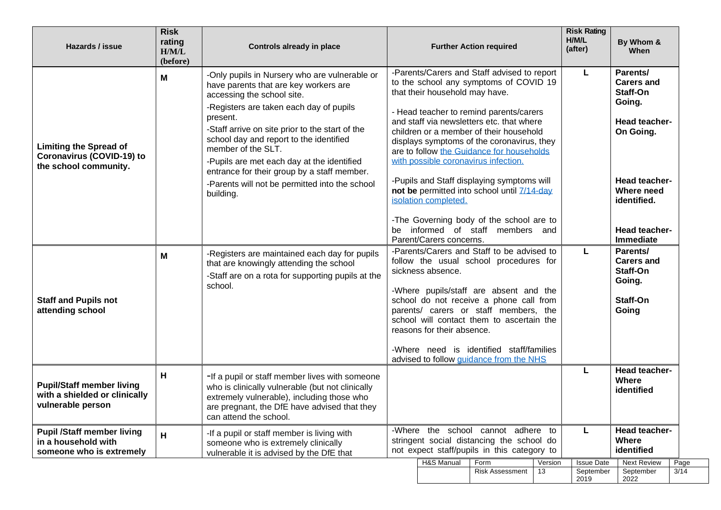| Hazards / issue                                                                            | <b>Risk</b><br>rating<br>H/M/L<br>(before) | Controls already in place                                                                                                                                                                                                                                                                                                                                                                    |                                                                                                                                |                                                 | <b>Further Action required</b>                                                                                                                                                                                                                                                                                                                                                                            |               | <b>Risk Rating</b><br>H/M/L<br>(after) | By Whom &<br>When                                                                                  |
|--------------------------------------------------------------------------------------------|--------------------------------------------|----------------------------------------------------------------------------------------------------------------------------------------------------------------------------------------------------------------------------------------------------------------------------------------------------------------------------------------------------------------------------------------------|--------------------------------------------------------------------------------------------------------------------------------|-------------------------------------------------|-----------------------------------------------------------------------------------------------------------------------------------------------------------------------------------------------------------------------------------------------------------------------------------------------------------------------------------------------------------------------------------------------------------|---------------|----------------------------------------|----------------------------------------------------------------------------------------------------|
| <b>Limiting the Spread of</b><br><b>Coronavirus (COVID-19) to</b><br>the school community. | М                                          | -Only pupils in Nursery who are vulnerable or<br>have parents that are key workers are<br>accessing the school site.<br>-Registers are taken each day of pupils<br>present.<br>-Staff arrive on site prior to the start of the<br>school day and report to the identified<br>member of the SLT.<br>-Pupils are met each day at the identified<br>entrance for their group by a staff member. |                                                                                                                                | that their household may have.                  | -Parents/Carers and Staff advised to report<br>to the school any symptoms of COVID 19<br>- Head teacher to remind parents/carers<br>and staff via newsletters etc. that where<br>children or a member of their household<br>displays symptoms of the coronavirus, they<br>are to follow the Guidance for households<br>with possible coronavirus infection.<br>-Pupils and Staff displaying symptoms will |               | L                                      | Parents/<br><b>Carers and</b><br>Staff-On<br>Going.<br>Head teacher-<br>On Going.<br>Head teacher- |
|                                                                                            |                                            | -Parents will not be permitted into the school<br>building.                                                                                                                                                                                                                                                                                                                                  | be                                                                                                                             | isolation completed.<br>Parent/Carers concerns. | not be permitted into school until 7/14-day<br>-The Governing body of the school are to<br>informed of staff members and                                                                                                                                                                                                                                                                                  |               |                                        | Where need<br>identified.<br>Head teacher-<br><b>Immediate</b>                                     |
| M<br><b>Staff and Pupils not</b><br>attending school                                       |                                            | -Registers are maintained each day for pupils<br>that are knowingly attending the school<br>-Staff are on a rota for supporting pupils at the<br>school.                                                                                                                                                                                                                                     |                                                                                                                                | sickness absence.                               | -Parents/Carers and Staff to be advised to<br>follow the usual school procedures for<br>-Where pupils/staff are absent and the<br>school do not receive a phone call from<br>parents/ carers or staff members, the<br>school will contact them to ascertain the                                                                                                                                           |               | L                                      | Parents/<br><b>Carers and</b><br>Staff-On<br>Going.<br>Staff-On<br>Going                           |
|                                                                                            |                                            |                                                                                                                                                                                                                                                                                                                                                                                              |                                                                                                                                | reasons for their absence.                      | -Where need is identified staff/families<br>advised to follow guidance from the NHS                                                                                                                                                                                                                                                                                                                       |               |                                        |                                                                                                    |
| <b>Pupil/Staff member living</b><br>with a shielded or clinically<br>vulnerable person     | н                                          | -If a pupil or staff member lives with someone<br>who is clinically vulnerable (but not clinically<br>extremely vulnerable), including those who<br>are pregnant, the DfE have advised that they<br>can attend the school.                                                                                                                                                                   |                                                                                                                                |                                                 |                                                                                                                                                                                                                                                                                                                                                                                                           |               | L                                      | Head teacher-<br>Where<br>identified                                                               |
| <b>Pupil /Staff member living</b><br>in a household with<br>someone who is extremely       | H.                                         | -If a pupil or staff member is living with<br>someone who is extremely clinically<br>vulnerable it is advised by the DfE that                                                                                                                                                                                                                                                                | -Where the school cannot adhere to<br>stringent social distancing the school do<br>not expect staff/pupils in this category to |                                                 |                                                                                                                                                                                                                                                                                                                                                                                                           |               | L                                      | Head teacher-<br><b>Where</b><br>identified                                                        |
|                                                                                            |                                            |                                                                                                                                                                                                                                                                                                                                                                                              |                                                                                                                                | H&S Manual                                      | Form<br><b>Risk Assessment</b>                                                                                                                                                                                                                                                                                                                                                                            | Version<br>13 | <b>Issue Date</b><br>September<br>2019 | <b>Next Review</b><br>Page<br>$\overline{3/14}$<br>September<br>2022                               |

 $\overline{\phantom{0}}$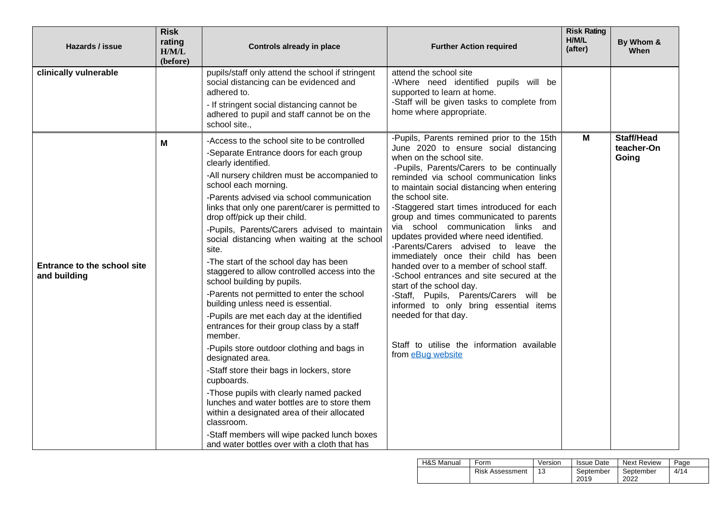| Hazards / issue                             | <b>Risk</b><br>rating<br>H/M/L<br>(before) | <b>Controls already in place</b>                                                                                                                                                                                                                                                                                                                                                                                                                                                                                                                                                                                                                                                                                                                                                                                                                                                                                                                                                                                                                                                       | <b>Further Action required</b>                                                                                                                                                                                                                                                                                                                                                                                                                                                                                                                                                                                                                                                                                                                                                              | <b>Risk Rating</b><br>H/M/L<br>(after) | By Whom &<br>When   |
|---------------------------------------------|--------------------------------------------|----------------------------------------------------------------------------------------------------------------------------------------------------------------------------------------------------------------------------------------------------------------------------------------------------------------------------------------------------------------------------------------------------------------------------------------------------------------------------------------------------------------------------------------------------------------------------------------------------------------------------------------------------------------------------------------------------------------------------------------------------------------------------------------------------------------------------------------------------------------------------------------------------------------------------------------------------------------------------------------------------------------------------------------------------------------------------------------|---------------------------------------------------------------------------------------------------------------------------------------------------------------------------------------------------------------------------------------------------------------------------------------------------------------------------------------------------------------------------------------------------------------------------------------------------------------------------------------------------------------------------------------------------------------------------------------------------------------------------------------------------------------------------------------------------------------------------------------------------------------------------------------------|----------------------------------------|---------------------|
| clinically vulnerable                       |                                            | pupils/staff only attend the school if stringent<br>social distancing can be evidenced and<br>adhered to.<br>- If stringent social distancing cannot be<br>adhered to pupil and staff cannot be on the<br>school site.,<br>-Access to the school site to be controlled                                                                                                                                                                                                                                                                                                                                                                                                                                                                                                                                                                                                                                                                                                                                                                                                                 | attend the school site<br>-Where need identified pupils will be<br>supported to learn at home.<br>-Staff will be given tasks to complete from<br>home where appropriate.<br>-Pupils, Parents remined prior to the 15th                                                                                                                                                                                                                                                                                                                                                                                                                                                                                                                                                                      | М                                      | <b>Staff/Head</b>   |
| Entrance to the school site<br>and building | Μ                                          | -Separate Entrance doors for each group<br>clearly identified.<br>-All nursery children must be accompanied to<br>school each morning.<br>-Parents advised via school communication<br>links that only one parent/carer is permitted to<br>drop off/pick up their child.<br>-Pupils, Parents/Carers advised to maintain<br>social distancing when waiting at the school<br>site.<br>-The start of the school day has been<br>staggered to allow controlled access into the<br>school building by pupils.<br>-Parents not permitted to enter the school<br>building unless need is essential.<br>-Pupils are met each day at the identified<br>entrances for their group class by a staff<br>member.<br>-Pupils store outdoor clothing and bags in<br>designated area.<br>-Staff store their bags in lockers, store<br>cupboards.<br>-Those pupils with clearly named packed<br>lunches and water bottles are to store them<br>within a designated area of their allocated<br>classroom.<br>-Staff members will wipe packed lunch boxes<br>and water bottles over with a cloth that has | June 2020 to ensure social distancing<br>when on the school site.<br>-Pupils, Parents/Carers to be continually<br>reminded via school communication links<br>to maintain social distancing when entering<br>the school site.<br>-Staggered start times introduced for each<br>group and times communicated to parents<br>via school communication links and<br>updates provided where need identified.<br>-Parents/Carers advised to leave the<br>immediately once their child has been<br>handed over to a member of school staff.<br>-School entrances and site secured at the<br>start of the school day.<br>-Staff, Pupils, Parents/Carers will be<br>informed to only bring essential items<br>needed for that day.<br>Staff to utilise the information available<br>from eBug website |                                        | teacher-On<br>Going |

| H&S Manual | Form                   | Version | <b>Issue Date</b> | Next Review | Page |
|------------|------------------------|---------|-------------------|-------------|------|
|            | <b>Risk Assessment</b> |         | September         | September   | 4/14 |
|            |                        |         | 2019              | 2022        |      |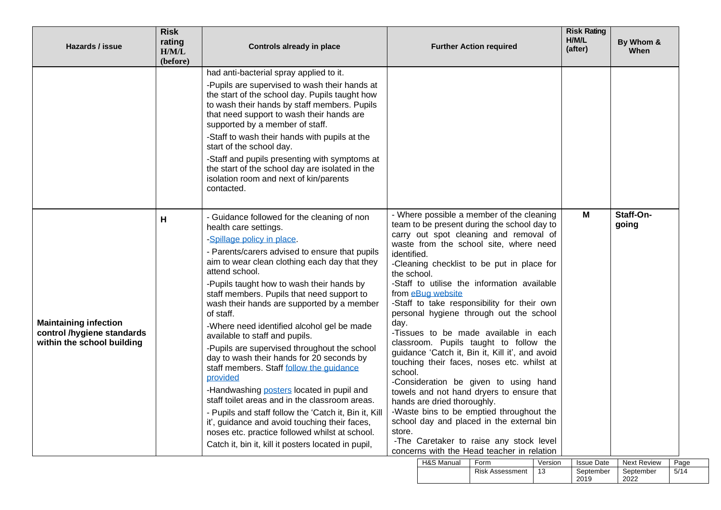| Hazards / issue                                                                          | <b>Risk</b><br>rating<br>H/M/L<br>(before) | Controls already in place                                                                                                                                                                                                                                                                                                                                                                                                                                                                                                                                                                                                                                                                                                                                                                                                                                                                                                            | <b>Further Action required</b>                          |                                                  |                                                                                                                                                                                                                                                                                                                                                                                                                                                                                                                                                                                                                                                                                                                                                                                                                                 |               | <b>Risk Rating</b><br>H/M/L<br>(after) | By Whom &<br>When                       |              |
|------------------------------------------------------------------------------------------|--------------------------------------------|--------------------------------------------------------------------------------------------------------------------------------------------------------------------------------------------------------------------------------------------------------------------------------------------------------------------------------------------------------------------------------------------------------------------------------------------------------------------------------------------------------------------------------------------------------------------------------------------------------------------------------------------------------------------------------------------------------------------------------------------------------------------------------------------------------------------------------------------------------------------------------------------------------------------------------------|---------------------------------------------------------|--------------------------------------------------|---------------------------------------------------------------------------------------------------------------------------------------------------------------------------------------------------------------------------------------------------------------------------------------------------------------------------------------------------------------------------------------------------------------------------------------------------------------------------------------------------------------------------------------------------------------------------------------------------------------------------------------------------------------------------------------------------------------------------------------------------------------------------------------------------------------------------------|---------------|----------------------------------------|-----------------------------------------|--------------|
|                                                                                          |                                            | had anti-bacterial spray applied to it.<br>-Pupils are supervised to wash their hands at<br>the start of the school day. Pupils taught how<br>to wash their hands by staff members. Pupils<br>that need support to wash their hands are<br>supported by a member of staff.<br>-Staff to wash their hands with pupils at the<br>start of the school day.<br>-Staff and pupils presenting with symptoms at<br>the start of the school day are isolated in the<br>isolation room and next of kin/parents<br>contacted.                                                                                                                                                                                                                                                                                                                                                                                                                  |                                                         |                                                  |                                                                                                                                                                                                                                                                                                                                                                                                                                                                                                                                                                                                                                                                                                                                                                                                                                 |               |                                        |                                         |              |
| <b>Maintaining infection</b><br>control /hygiene standards<br>within the school building | н                                          | - Guidance followed for the cleaning of non<br>health care settings.<br>-Spillage policy in place.<br>- Parents/carers advised to ensure that pupils<br>aim to wear clean clothing each day that they<br>attend school.<br>-Pupils taught how to wash their hands by<br>staff members. Pupils that need support to<br>wash their hands are supported by a member<br>of staff.<br>-Where need identified alcohol gel be made<br>available to staff and pupils.<br>-Pupils are supervised throughout the school<br>day to wash their hands for 20 seconds by<br>staff members. Staff follow the guidance<br>provided<br>-Handwashing posters located in pupil and<br>staff toilet areas and in the classroom areas.<br>- Pupils and staff follow the 'Catch it, Bin it, Kill<br>it', guidance and avoid touching their faces,<br>noses etc. practice followed whilst at school.<br>Catch it, bin it, kill it posters located in pupil, | identified.<br>the school.<br>day.<br>school.<br>store. | from eBug website<br>hands are dried thoroughly. | - Where possible a member of the cleaning<br>team to be present during the school day to<br>carry out spot cleaning and removal of<br>waste from the school site, where need<br>-Cleaning checklist to be put in place for<br>-Staff to utilise the information available<br>-Staff to take responsibility for their own<br>personal hygiene through out the school<br>-Tissues to be made available in each<br>classroom. Pupils taught to follow the<br>guidance 'Catch it, Bin it, Kill it', and avoid<br>touching their faces, noses etc. whilst at<br>-Consideration be given to using hand<br>towels and not hand dryers to ensure that<br>-Waste bins to be emptied throughout the<br>school day and placed in the external bin<br>-The Caretaker to raise any stock level<br>concerns with the Head teacher in relation |               | M                                      | Staff-On-<br>going                      |              |
|                                                                                          |                                            |                                                                                                                                                                                                                                                                                                                                                                                                                                                                                                                                                                                                                                                                                                                                                                                                                                                                                                                                      |                                                         | H&S Manual                                       | Form<br><b>Risk Assessment</b>                                                                                                                                                                                                                                                                                                                                                                                                                                                                                                                                                                                                                                                                                                                                                                                                  | Version<br>13 | <b>Issue Date</b><br>September<br>2019 | <b>Next Review</b><br>September<br>2022 | Page<br>5/14 |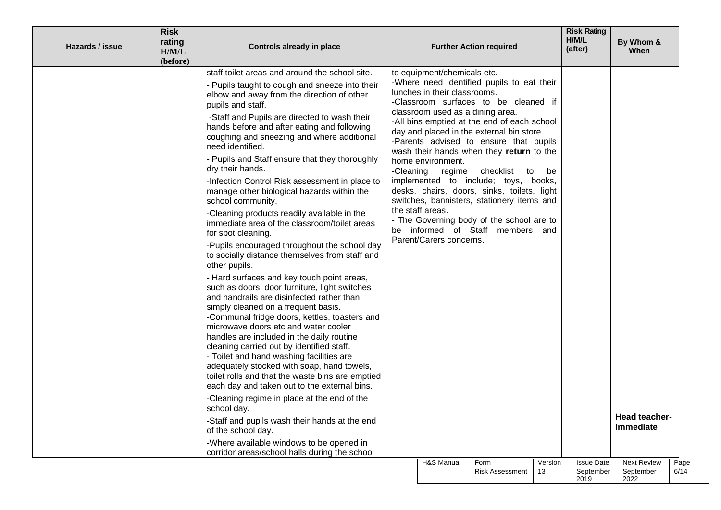| Hazards / issue | <b>Risk</b><br>rating<br>H/M/L<br>(before)                                                                                                                                                                                                             | <b>Controls already in place</b>                                                                                                                                                                                                                                                                                                                                                                                                                                                                                 |  |                                       | <b>Further Action required</b>                                                                                                                                                 |         | <b>Risk Rating</b><br>H/M/L<br>(after) | By Whom &<br>When                 |      |
|-----------------|--------------------------------------------------------------------------------------------------------------------------------------------------------------------------------------------------------------------------------------------------------|------------------------------------------------------------------------------------------------------------------------------------------------------------------------------------------------------------------------------------------------------------------------------------------------------------------------------------------------------------------------------------------------------------------------------------------------------------------------------------------------------------------|--|---------------------------------------|--------------------------------------------------------------------------------------------------------------------------------------------------------------------------------|---------|----------------------------------------|-----------------------------------|------|
|                 |                                                                                                                                                                                                                                                        | staff toilet areas and around the school site.                                                                                                                                                                                                                                                                                                                                                                                                                                                                   |  | to equipment/chemicals etc.           | -Where need identified pupils to eat their                                                                                                                                     |         |                                        |                                   |      |
|                 |                                                                                                                                                                                                                                                        | - Pupils taught to cough and sneeze into their<br>elbow and away from the direction of other<br>pupils and staff.                                                                                                                                                                                                                                                                                                                                                                                                |  | lunches in their classrooms.          | -Classroom surfaces to be cleaned if                                                                                                                                           |         |                                        |                                   |      |
|                 |                                                                                                                                                                                                                                                        | -Staff and Pupils are directed to wash their<br>hands before and after eating and following<br>coughing and sneezing and where additional<br>need identified.                                                                                                                                                                                                                                                                                                                                                    |  | classroom used as a dining area.      | -All bins emptied at the end of each school<br>day and placed in the external bin store.<br>-Parents advised to ensure that pupils<br>wash their hands when they return to the |         |                                        |                                   |      |
|                 |                                                                                                                                                                                                                                                        | - Pupils and Staff ensure that they thoroughly<br>dry their hands.                                                                                                                                                                                                                                                                                                                                                                                                                                               |  | home environment.<br>-Cleaning regime | checklist<br>to                                                                                                                                                                | be      |                                        |                                   |      |
|                 | implemented to include; toys, books,<br>-Infection Control Risk assessment in place to<br>desks, chairs, doors, sinks, toilets, light<br>manage other biological hazards within the<br>switches, bannisters, stationery items and<br>school community. |                                                                                                                                                                                                                                                                                                                                                                                                                                                                                                                  |  |                                       |                                                                                                                                                                                |         |                                        |                                   |      |
|                 |                                                                                                                                                                                                                                                        | -Cleaning products readily available in the<br>immediate area of the classroom/toilet areas<br>for spot cleaning.                                                                                                                                                                                                                                                                                                                                                                                                |  | the staff areas.                      | - The Governing body of the school are to<br>be informed of Staff members and                                                                                                  |         |                                        |                                   |      |
|                 |                                                                                                                                                                                                                                                        | -Pupils encouraged throughout the school day<br>to socially distance themselves from staff and<br>other pupils.                                                                                                                                                                                                                                                                                                                                                                                                  |  | Parent/Carers concerns.               |                                                                                                                                                                                |         |                                        |                                   |      |
|                 |                                                                                                                                                                                                                                                        | - Hard surfaces and key touch point areas,<br>such as doors, door furniture, light switches<br>and handrails are disinfected rather than<br>simply cleaned on a frequent basis.<br>-Communal fridge doors, kettles, toasters and<br>microwave doors etc and water cooler<br>handles are included in the daily routine<br>cleaning carried out by identified staff.<br>- Toilet and hand washing facilities are<br>adequately stocked with soap, hand towels,<br>toilet rolls and that the waste bins are emptied |  |                                       |                                                                                                                                                                                |         |                                        |                                   |      |
|                 |                                                                                                                                                                                                                                                        | each day and taken out to the external bins.                                                                                                                                                                                                                                                                                                                                                                                                                                                                     |  |                                       |                                                                                                                                                                                |         |                                        |                                   |      |
|                 |                                                                                                                                                                                                                                                        | -Cleaning regime in place at the end of the<br>school day.                                                                                                                                                                                                                                                                                                                                                                                                                                                       |  |                                       |                                                                                                                                                                                |         |                                        |                                   |      |
|                 |                                                                                                                                                                                                                                                        | -Staff and pupils wash their hands at the end<br>of the school day.                                                                                                                                                                                                                                                                                                                                                                                                                                              |  |                                       |                                                                                                                                                                                |         |                                        | Head teacher-<br><b>Immediate</b> |      |
|                 |                                                                                                                                                                                                                                                        | -Where available windows to be opened in<br>corridor areas/school halls during the school                                                                                                                                                                                                                                                                                                                                                                                                                        |  |                                       |                                                                                                                                                                                |         |                                        |                                   |      |
|                 |                                                                                                                                                                                                                                                        |                                                                                                                                                                                                                                                                                                                                                                                                                                                                                                                  |  | H&S Manual                            | Form                                                                                                                                                                           | Version | <b>Issue Date</b>                      | <b>Next Review</b>                | Page |
|                 |                                                                                                                                                                                                                                                        |                                                                                                                                                                                                                                                                                                                                                                                                                                                                                                                  |  |                                       | <b>Risk Assessment</b>                                                                                                                                                         | 13      | September<br>2019                      | September<br>2022                 | 6/14 |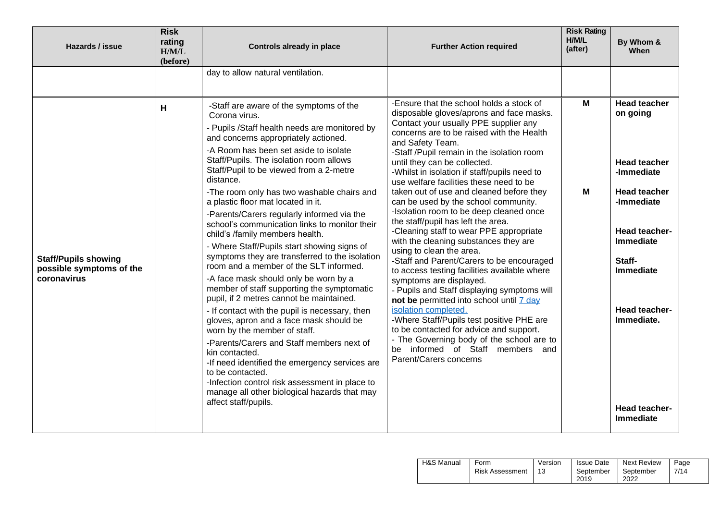| Hazards / issue                                                        | <b>Risk</b><br>rating<br>H/M/L<br>(before) | <b>Controls already in place</b>                                                                                                                                                                                                                                                                                                                                                                                                                                                                                                                                                                                                                                                                                                                                                                                                                                                                                                                                                                                                                                                                                                                                                              | <b>Further Action required</b>                                                                                                                                                                                                                                                                                                                                                                                                                                                                                                                                                                                                                                                                                                                                                                                                                                                                                                                                                                                                                                                                             | <b>Risk Rating</b><br>H/M/L<br>(after) | By Whom &<br><b>When</b>                                                                                                                                                                                                                  |
|------------------------------------------------------------------------|--------------------------------------------|-----------------------------------------------------------------------------------------------------------------------------------------------------------------------------------------------------------------------------------------------------------------------------------------------------------------------------------------------------------------------------------------------------------------------------------------------------------------------------------------------------------------------------------------------------------------------------------------------------------------------------------------------------------------------------------------------------------------------------------------------------------------------------------------------------------------------------------------------------------------------------------------------------------------------------------------------------------------------------------------------------------------------------------------------------------------------------------------------------------------------------------------------------------------------------------------------|------------------------------------------------------------------------------------------------------------------------------------------------------------------------------------------------------------------------------------------------------------------------------------------------------------------------------------------------------------------------------------------------------------------------------------------------------------------------------------------------------------------------------------------------------------------------------------------------------------------------------------------------------------------------------------------------------------------------------------------------------------------------------------------------------------------------------------------------------------------------------------------------------------------------------------------------------------------------------------------------------------------------------------------------------------------------------------------------------------|----------------------------------------|-------------------------------------------------------------------------------------------------------------------------------------------------------------------------------------------------------------------------------------------|
|                                                                        |                                            | day to allow natural ventilation.                                                                                                                                                                                                                                                                                                                                                                                                                                                                                                                                                                                                                                                                                                                                                                                                                                                                                                                                                                                                                                                                                                                                                             |                                                                                                                                                                                                                                                                                                                                                                                                                                                                                                                                                                                                                                                                                                                                                                                                                                                                                                                                                                                                                                                                                                            |                                        |                                                                                                                                                                                                                                           |
| <b>Staff/Pupils showing</b><br>possible symptoms of the<br>coronavirus | н                                          | -Staff are aware of the symptoms of the<br>Corona virus.<br>- Pupils /Staff health needs are monitored by<br>and concerns appropriately actioned.<br>-A Room has been set aside to isolate<br>Staff/Pupils. The isolation room allows<br>Staff/Pupil to be viewed from a 2-metre<br>distance.<br>-The room only has two washable chairs and<br>a plastic floor mat located in it.<br>-Parents/Carers regularly informed via the<br>school's communication links to monitor their<br>child's /family members health.<br>- Where Staff/Pupils start showing signs of<br>symptoms they are transferred to the isolation<br>room and a member of the SLT informed.<br>-A face mask should only be worn by a<br>member of staff supporting the symptomatic<br>pupil, if 2 metres cannot be maintained.<br>- If contact with the pupil is necessary, then<br>gloves, apron and a face mask should be<br>worn by the member of staff.<br>-Parents/Carers and Staff members next of<br>kin contacted.<br>-If need identified the emergency services are<br>to be contacted.<br>-Infection control risk assessment in place to<br>manage all other biological hazards that may<br>affect staff/pupils. | -Ensure that the school holds a stock of<br>disposable gloves/aprons and face masks.<br>Contact your usually PPE supplier any<br>concerns are to be raised with the Health<br>and Safety Team.<br>-Staff /Pupil remain in the isolation room<br>until they can be collected.<br>-Whilst in isolation if staff/pupils need to<br>use welfare facilities these need to be<br>taken out of use and cleaned before they<br>can be used by the school community.<br>-Isolation room to be deep cleaned once<br>the staff/pupil has left the area.<br>-Cleaning staff to wear PPE appropriate<br>with the cleaning substances they are<br>using to clean the area.<br>-Staff and Parent/Carers to be encouraged<br>to access testing facilities available where<br>symptoms are displayed.<br>- Pupils and Staff displaying symptoms will<br>not be permitted into school until 7 day<br>isolation completed.<br>-Where Staff/Pupils test positive PHE are<br>to be contacted for advice and support.<br>- The Governing body of the school are to<br>be informed of Staff members and<br>Parent/Carers concerns | M<br>M                                 | <b>Head teacher</b><br>on going<br><b>Head teacher</b><br>-Immediate<br><b>Head teacher</b><br>-Immediate<br>Head teacher-<br><b>Immediate</b><br>Staff-<br><b>Immediate</b><br>Head teacher-<br>Immediate.<br>Head teacher-<br>Immediate |

| H&S Manual | Form                   | Version | <b>Issue Date</b> | Next Review | Page |
|------------|------------------------|---------|-------------------|-------------|------|
|            | <b>Risk Assessment</b> |         | September         | September   | 7/14 |
|            |                        |         | 2019              | 2022        |      |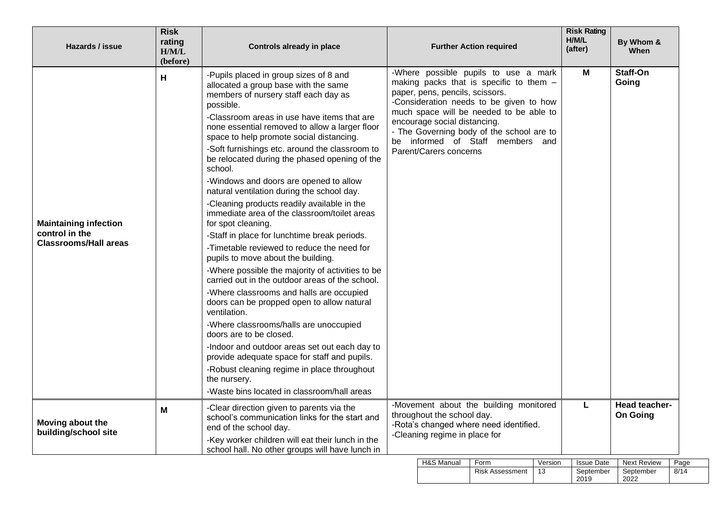| Hazards / issue                                                                | <b>Risk</b><br>rating<br>H/M/L<br>(before) | <b>Controls already in place</b>                                                                                                                                                                                                                                                                                                                                                                                                                                                                                                                                                                                                                                                                                                                                                                                                                                                                                                                                                                                                                                                                                                                                                                                                                     | <b>Further Action required</b>                                                                                                                                                                                                                                                                                                                      | <b>Risk Rating</b><br>H/M/L<br>(after) | By Whom &<br><b>When</b>                                              |
|--------------------------------------------------------------------------------|--------------------------------------------|------------------------------------------------------------------------------------------------------------------------------------------------------------------------------------------------------------------------------------------------------------------------------------------------------------------------------------------------------------------------------------------------------------------------------------------------------------------------------------------------------------------------------------------------------------------------------------------------------------------------------------------------------------------------------------------------------------------------------------------------------------------------------------------------------------------------------------------------------------------------------------------------------------------------------------------------------------------------------------------------------------------------------------------------------------------------------------------------------------------------------------------------------------------------------------------------------------------------------------------------------|-----------------------------------------------------------------------------------------------------------------------------------------------------------------------------------------------------------------------------------------------------------------------------------------------------------------------------------------------------|----------------------------------------|-----------------------------------------------------------------------|
| <b>Maintaining infection</b><br>control in the<br><b>Classrooms/Hall areas</b> | H                                          | -Pupils placed in group sizes of 8 and<br>allocated a group base with the same<br>members of nursery staff each day as<br>possible.<br>-Classroom areas in use have items that are<br>none essential removed to allow a larger floor<br>space to help promote social distancing.<br>-Soft furnishings etc. around the classroom to<br>be relocated during the phased opening of the<br>school.<br>-Windows and doors are opened to allow<br>natural ventilation during the school day.<br>-Cleaning products readily available in the<br>immediate area of the classroom/toilet areas<br>for spot cleaning.<br>-Staff in place for lunchtime break periods.<br>-Timetable reviewed to reduce the need for<br>pupils to move about the building.<br>-Where possible the majority of activities to be<br>carried out in the outdoor areas of the school.<br>-Where classrooms and halls are occupied<br>doors can be propped open to allow natural<br>ventilation.<br>-Where classrooms/halls are unoccupied<br>doors are to be closed.<br>-Indoor and outdoor areas set out each day to<br>provide adequate space for staff and pupils.<br>-Robust cleaning regime in place throughout<br>the nursery.<br>-Waste bins located in classroom/hall areas | -Where possible pupils to use a mark<br>making packs that is specific to them -<br>paper, pens, pencils, scissors.<br>-Consideration needs to be given to how<br>much space will be needed to be able to<br>encourage social distancing.<br>- The Governing body of the school are to<br>be informed of Staff members and<br>Parent/Carers concerns | M                                      | Staff-On<br>Going                                                     |
| Moving about the<br>building/school site                                       | М                                          | -Clear direction given to parents via the<br>school's communication links for the start and<br>end of the school day.<br>-Key worker children will eat their lunch in the<br>school hall. No other groups will have lunch in                                                                                                                                                                                                                                                                                                                                                                                                                                                                                                                                                                                                                                                                                                                                                                                                                                                                                                                                                                                                                         | -Movement about the building monitored<br>throughout the school day.<br>-Rota's changed where need identified.<br>-Cleaning regime in place for<br>$\overline{L}$                                                                                                                                                                                   | L                                      | Head teacher-<br><b>On Going</b><br>Varcion Lequa Data Novt Poviou Da |

| H&S Manual | Form                   | Version | <b>Issue Date</b> | <b>Next Review</b> | Page |
|------------|------------------------|---------|-------------------|--------------------|------|
|            | <b>Risk Assessment</b> |         | September<br>2019 | September<br>2022  | 8/14 |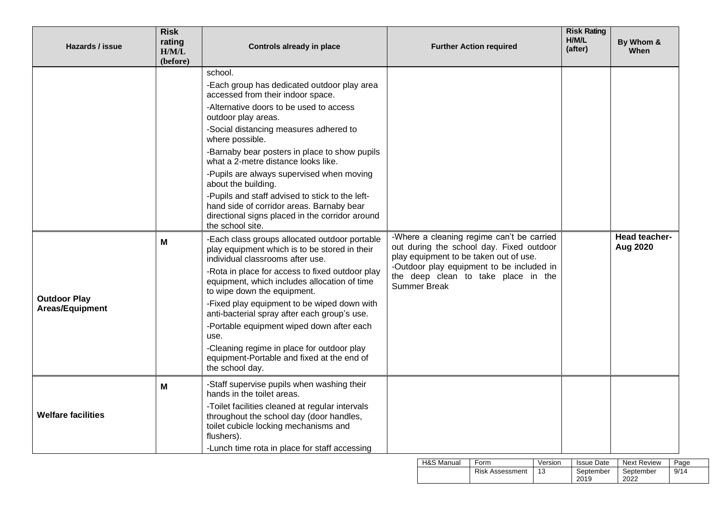| Hazards / issue                        | <b>Risk</b><br>rating<br>H/M/L<br>(before) | <b>Controls already in place</b>                                                                                                                                                                                                                                                                                                                                                                                                                                                                                                                                                                               | <b>Further Action required</b>                                                                                                                                                                                                             | <b>Risk Rating</b><br>H/M/L<br>(after) | By Whom &<br>When         |
|----------------------------------------|--------------------------------------------|----------------------------------------------------------------------------------------------------------------------------------------------------------------------------------------------------------------------------------------------------------------------------------------------------------------------------------------------------------------------------------------------------------------------------------------------------------------------------------------------------------------------------------------------------------------------------------------------------------------|--------------------------------------------------------------------------------------------------------------------------------------------------------------------------------------------------------------------------------------------|----------------------------------------|---------------------------|
|                                        |                                            | school.<br>-Each group has dedicated outdoor play area<br>accessed from their indoor space.<br>-Alternative doors to be used to access<br>outdoor play areas.<br>-Social distancing measures adhered to<br>where possible.<br>-Barnaby bear posters in place to show pupils<br>what a 2-metre distance looks like.<br>-Pupils are always supervised when moving<br>about the building.<br>-Pupils and staff advised to stick to the left-<br>hand side of corridor areas. Barnaby bear                                                                                                                         |                                                                                                                                                                                                                                            |                                        |                           |
| <b>Outdoor Play</b><br>Areas/Equipment | M                                          | directional signs placed in the corridor around<br>the school site.<br>-Each class groups allocated outdoor portable<br>play equipment which is to be stored in their<br>individual classrooms after use.<br>-Rota in place for access to fixed outdoor play<br>equipment, which includes allocation of time<br>to wipe down the equipment.<br>-Fixed play equipment to be wiped down with<br>anti-bacterial spray after each group's use.<br>-Portable equipment wiped down after each<br>use.<br>-Cleaning regime in place for outdoor play<br>equipment-Portable and fixed at the end of<br>the school day. | -Where a cleaning regime can't be carried<br>out during the school day. Fixed outdoor<br>play equipment to be taken out of use.<br>-Outdoor play equipment to be included in<br>the deep clean to take place in the<br><b>Summer Break</b> |                                        | Head teacher-<br>Aug 2020 |
| <b>Welfare facilities</b>              | M                                          | -Staff supervise pupils when washing their<br>hands in the toilet areas.<br>-Toilet facilities cleaned at regular intervals<br>throughout the school day (door handles,<br>toilet cubicle locking mechanisms and<br>flushers).<br>-Lunch time rota in place for staff accessing                                                                                                                                                                                                                                                                                                                                |                                                                                                                                                                                                                                            |                                        |                           |

| <b>H&amp;S Manual</b> | Form                   | Version | <b>Issue Date</b> | Next Review | Page |
|-----------------------|------------------------|---------|-------------------|-------------|------|
|                       | <b>Risk Assessment</b> | 13      | September         | September   | 9/14 |
|                       |                        |         | 2019              | 2022        |      |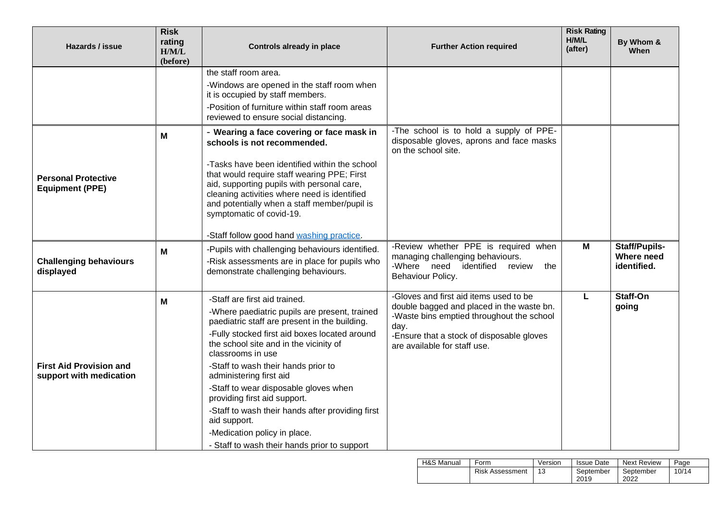| <b>Risk</b><br>rating<br>Hazards / issue<br>H/M/L<br>(before) |   | <b>Controls already in place</b>                                                                                                                                                                                                                                                                                                                                                                                                                                                                                                               | <b>Further Action required</b>                                                                                                                                                                                        | <b>Risk Rating</b><br>H/M/L<br>(after) | By Whom &<br><b>When</b>                          |
|---------------------------------------------------------------|---|------------------------------------------------------------------------------------------------------------------------------------------------------------------------------------------------------------------------------------------------------------------------------------------------------------------------------------------------------------------------------------------------------------------------------------------------------------------------------------------------------------------------------------------------|-----------------------------------------------------------------------------------------------------------------------------------------------------------------------------------------------------------------------|----------------------------------------|---------------------------------------------------|
|                                                               | Μ | the staff room area.<br>-Windows are opened in the staff room when<br>it is occupied by staff members.<br>-Position of furniture within staff room areas<br>reviewed to ensure social distancing.<br>- Wearing a face covering or face mask in                                                                                                                                                                                                                                                                                                 | -The school is to hold a supply of PPE-                                                                                                                                                                               |                                        |                                                   |
| <b>Personal Protective</b><br><b>Equipment (PPE)</b>          |   | schools is not recommended.<br>-Tasks have been identified within the school<br>that would require staff wearing PPE; First<br>aid, supporting pupils with personal care,<br>cleaning activities where need is identified<br>and potentially when a staff member/pupil is<br>symptomatic of covid-19.<br>-Staff follow good hand washing practice.                                                                                                                                                                                             | disposable gloves, aprons and face masks<br>on the school site.                                                                                                                                                       |                                        |                                                   |
| <b>Challenging behaviours</b><br>displayed                    | M | -Pupils with challenging behaviours identified.<br>-Risk assessments are in place for pupils who<br>demonstrate challenging behaviours.                                                                                                                                                                                                                                                                                                                                                                                                        | -Review whether PPE is required when<br>managing challenging behaviours.<br>identified<br>-Where need<br>review<br>the<br>Behaviour Policy.                                                                           | M                                      | <b>Staff/Pupils-</b><br>Where need<br>identified. |
| <b>First Aid Provision and</b><br>support with medication     | М | -Staff are first aid trained.<br>-Where paediatric pupils are present, trained<br>paediatric staff are present in the building.<br>-Fully stocked first aid boxes located around<br>the school site and in the vicinity of<br>classrooms in use<br>-Staff to wash their hands prior to<br>administering first aid<br>-Staff to wear disposable gloves when<br>providing first aid support.<br>-Staff to wash their hands after providing first<br>aid support.<br>-Medication policy in place.<br>- Staff to wash their hands prior to support | -Gloves and first aid items used to be<br>double bagged and placed in the waste bn.<br>-Waste bins emptied throughout the school<br>day.<br>-Ensure that a stock of disposable gloves<br>are available for staff use. | L                                      | Staff-On<br>going                                 |

| <b>H&amp;S Manual</b> | Form                   | Version | <b>Issue Date</b> | Next Review       | Page  |
|-----------------------|------------------------|---------|-------------------|-------------------|-------|
|                       | <b>Risk Assessment</b> | 13      | September<br>2019 | September<br>2022 | 10/14 |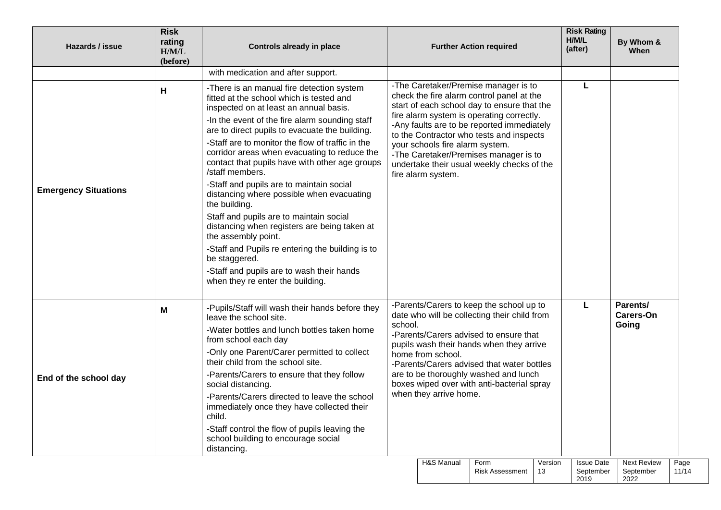| Hazards / issue                  | <b>Risk</b><br>rating<br>H/M/L<br>(before) | <b>Controls already in place</b>                                                                                                                                                                                                                                                                                                                                                                                                                                                                                                                                                                                                                                                                                                                                                               |                                                                                                                                                                                                                                                                                                                                                                                                                         |            | <b>Further Action required</b> |                                       | <b>Risk Rating</b><br>H/M/L<br>(after) | By Whom &<br>When  |       |
|----------------------------------|--------------------------------------------|------------------------------------------------------------------------------------------------------------------------------------------------------------------------------------------------------------------------------------------------------------------------------------------------------------------------------------------------------------------------------------------------------------------------------------------------------------------------------------------------------------------------------------------------------------------------------------------------------------------------------------------------------------------------------------------------------------------------------------------------------------------------------------------------|-------------------------------------------------------------------------------------------------------------------------------------------------------------------------------------------------------------------------------------------------------------------------------------------------------------------------------------------------------------------------------------------------------------------------|------------|--------------------------------|---------------------------------------|----------------------------------------|--------------------|-------|
|                                  |                                            | with medication and after support.                                                                                                                                                                                                                                                                                                                                                                                                                                                                                                                                                                                                                                                                                                                                                             |                                                                                                                                                                                                                                                                                                                                                                                                                         |            |                                |                                       |                                        |                    |       |
| н<br><b>Emergency Situations</b> |                                            | -There is an manual fire detection system<br>fitted at the school which is tested and<br>inspected on at least an annual basis.<br>-In the event of the fire alarm sounding staff<br>are to direct pupils to evacuate the building.<br>-Staff are to monitor the flow of traffic in the<br>corridor areas when evacuating to reduce the<br>contact that pupils have with other age groups<br>/staff members.<br>-Staff and pupils are to maintain social<br>distancing where possible when evacuating<br>the building.<br>Staff and pupils are to maintain social<br>distancing when registers are being taken at<br>the assembly point.<br>-Staff and Pupils re entering the building is to<br>be staggered.<br>-Staff and pupils are to wash their hands<br>when they re enter the building. | -The Caretaker/Premise manager is to<br>check the fire alarm control panel at the<br>start of each school day to ensure that the<br>fire alarm system is operating correctly.<br>-Any faults are to be reported immediately<br>to the Contractor who tests and inspects<br>your schools fire alarm system.<br>-The Caretaker/Premises manager is to<br>undertake their usual weekly checks of the<br>fire alarm system. |            |                                |                                       | L                                      |                    |       |
| End of the school day            | Μ                                          | -Pupils/Staff will wash their hands before they<br>leave the school site.<br>-Water bottles and lunch bottles taken home<br>from school each day<br>-Only one Parent/Carer permitted to collect<br>their child from the school site.<br>-Parents/Carers to ensure that they follow<br>social distancing.<br>-Parents/Carers directed to leave the school<br>immediately once they have collected their<br>child.<br>-Staff control the flow of pupils leaving the<br>school building to encourage social<br>distancing.                                                                                                                                                                                                                                                                        | -Parents/Carers to keep the school up to<br>date who will be collecting their child from<br>school.<br>-Parents/Carers advised to ensure that<br>pupils wash their hands when they arrive<br>home from school.<br>-Parents/Carers advised that water bottles<br>are to be thoroughly washed and lunch<br>boxes wiped over with anti-bacterial spray<br>when they arrive home.                                           |            | L                              | Parents/<br><b>Carers-On</b><br>Going |                                        |                    |       |
|                                  |                                            |                                                                                                                                                                                                                                                                                                                                                                                                                                                                                                                                                                                                                                                                                                                                                                                                |                                                                                                                                                                                                                                                                                                                                                                                                                         | H&S Manual | Form                           | Version                               | <b>Issue Date</b>                      | <b>Next Review</b> | Page  |
|                                  |                                            |                                                                                                                                                                                                                                                                                                                                                                                                                                                                                                                                                                                                                                                                                                                                                                                                |                                                                                                                                                                                                                                                                                                                                                                                                                         |            | <b>Risk Assessment</b>         | 13                                    | September                              | September          | 11/14 |

2019

2022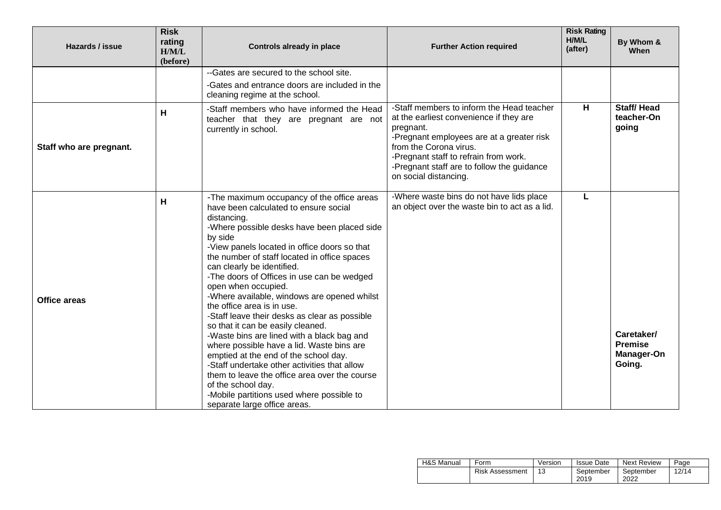| Hazards / issue         | <b>Risk</b><br>rating<br>H/M/L<br>(before) | <b>Controls already in place</b>                                                                                                                                                                                                                                                                                                                                                                                                                                                                                                                                                                                                                                                                                                                                                                                                                                           | <b>Further Action required</b>                                                                                                                                                                                                                                                           | <b>Risk Rating</b><br>H/M/L<br>(after) | By Whom &<br>When                                           |
|-------------------------|--------------------------------------------|----------------------------------------------------------------------------------------------------------------------------------------------------------------------------------------------------------------------------------------------------------------------------------------------------------------------------------------------------------------------------------------------------------------------------------------------------------------------------------------------------------------------------------------------------------------------------------------------------------------------------------------------------------------------------------------------------------------------------------------------------------------------------------------------------------------------------------------------------------------------------|------------------------------------------------------------------------------------------------------------------------------------------------------------------------------------------------------------------------------------------------------------------------------------------|----------------------------------------|-------------------------------------------------------------|
|                         |                                            | --Gates are secured to the school site.<br>-Gates and entrance doors are included in the<br>cleaning regime at the school.                                                                                                                                                                                                                                                                                                                                                                                                                                                                                                                                                                                                                                                                                                                                                 |                                                                                                                                                                                                                                                                                          |                                        |                                                             |
| Staff who are pregnant. | H                                          | -Staff members who have informed the Head<br>teacher that they are pregnant are not<br>currently in school.                                                                                                                                                                                                                                                                                                                                                                                                                                                                                                                                                                                                                                                                                                                                                                | -Staff members to inform the Head teacher<br>at the earliest convenience if they are<br>pregnant.<br>-Pregnant employees are at a greater risk<br>from the Corona virus.<br>-Pregnant staff to refrain from work.<br>-Pregnant staff are to follow the guidance<br>on social distancing. | н                                      | <b>Staff/Head</b><br>teacher-On<br>going                    |
| <b>Office areas</b>     | н                                          | -The maximum occupancy of the office areas<br>have been calculated to ensure social<br>distancing.<br>-Where possible desks have been placed side<br>by side<br>-View panels located in office doors so that<br>the number of staff located in office spaces<br>can clearly be identified.<br>-The doors of Offices in use can be wedged<br>open when occupied.<br>-Where available, windows are opened whilst<br>the office area is in use.<br>-Staff leave their desks as clear as possible<br>so that it can be easily cleaned.<br>-Waste bins are lined with a black bag and<br>where possible have a lid. Waste bins are<br>emptied at the end of the school day.<br>-Staff undertake other activities that allow<br>them to leave the office area over the course<br>of the school day.<br>-Mobile partitions used where possible to<br>separate large office areas. | -Where waste bins do not have lids place<br>an object over the waste bin to act as a lid.                                                                                                                                                                                                | L                                      | Caretaker/<br><b>Premise</b><br><b>Manager-On</b><br>Going. |

| H&S Manual | Form                   | Version | <b>Issue Date</b> | Next Review       | Page  |
|------------|------------------------|---------|-------------------|-------------------|-------|
|            | <b>Risk Assessment</b> |         | September<br>2019 | September<br>2022 | 12/14 |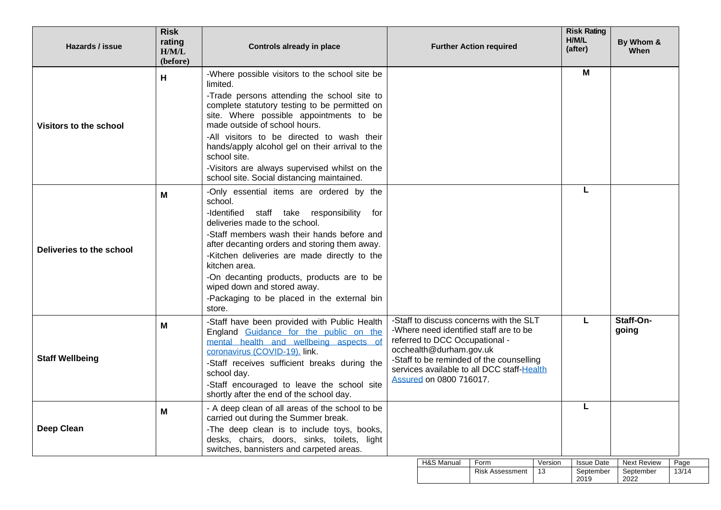| <b>Risk</b><br>rating<br><b>Hazards / issue</b><br>H/M/L<br>(before) |   | <b>Controls already in place</b>                                                                                                                                                                                                                                                                                                                                                                                                                       |                                                                                                                                                                                                                                                                            |            | <b>Further Action required</b> |               | <b>Risk Rating</b><br>H/M/L<br>(after) | By Whom &<br>When                       |               |
|----------------------------------------------------------------------|---|--------------------------------------------------------------------------------------------------------------------------------------------------------------------------------------------------------------------------------------------------------------------------------------------------------------------------------------------------------------------------------------------------------------------------------------------------------|----------------------------------------------------------------------------------------------------------------------------------------------------------------------------------------------------------------------------------------------------------------------------|------------|--------------------------------|---------------|----------------------------------------|-----------------------------------------|---------------|
| н<br><b>Visitors to the school</b>                                   |   | -Where possible visitors to the school site be<br>limited.<br>-Trade persons attending the school site to<br>complete statutory testing to be permitted on<br>site. Where possible appointments to be<br>made outside of school hours.<br>-All visitors to be directed to wash their<br>hands/apply alcohol gel on their arrival to the<br>school site.<br>-Visitors are always supervised whilst on the<br>school site. Social distancing maintained. |                                                                                                                                                                                                                                                                            |            |                                |               | M                                      |                                         |               |
| Deliveries to the school                                             | M | -Only essential items are ordered by the<br>school.<br>-Identified staff take responsibility for<br>deliveries made to the school.<br>-Staff members wash their hands before and<br>after decanting orders and storing them away.<br>-Kitchen deliveries are made directly to the<br>kitchen area.<br>-On decanting products, products are to be<br>wiped down and stored away.<br>-Packaging to be placed in the external bin<br>store.               |                                                                                                                                                                                                                                                                            |            |                                |               | L                                      |                                         |               |
| <b>Staff Wellbeing</b>                                               | M | -Staff have been provided with Public Health<br>England Guidance for the public on the<br>mental health and wellbeing aspects of<br>coronavirus (COVID-19). link.<br>-Staff receives sufficient breaks during the<br>school day.<br>-Staff encouraged to leave the school site<br>shortly after the end of the school day.                                                                                                                             | -Staff to discuss concerns with the SLT<br>-Where need identified staff are to be<br>referred to DCC Occupational -<br>occhealth@durham.gov.uk<br>-Staff to be reminded of the counselling<br>services available to all DCC staff-Health<br><b>Assured on 0800 716017.</b> |            |                                | L             | Staff-On-<br>going                     |                                         |               |
| <b>Deep Clean</b>                                                    | M | - A deep clean of all areas of the school to be<br>carried out during the Summer break.<br>-The deep clean is to include toys, books,<br>desks, chairs, doors, sinks, toilets, light<br>switches, bannisters and carpeted areas.                                                                                                                                                                                                                       |                                                                                                                                                                                                                                                                            |            |                                |               |                                        |                                         |               |
|                                                                      |   |                                                                                                                                                                                                                                                                                                                                                                                                                                                        |                                                                                                                                                                                                                                                                            | H&S Manual | Form<br><b>Risk Assessment</b> | Version<br>13 | <b>Issue Date</b><br>September<br>2019 | <b>Next Review</b><br>September<br>2022 | Page<br>13/14 |